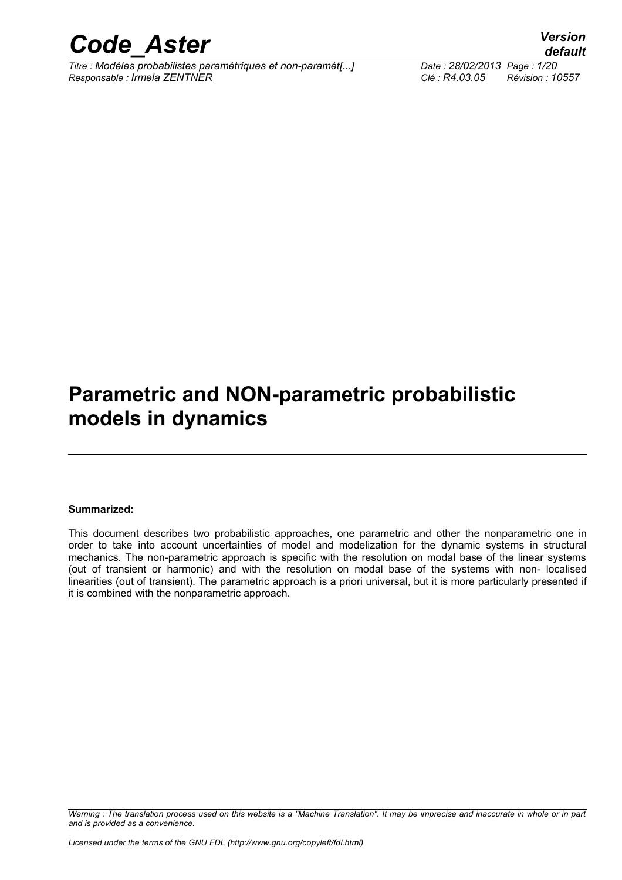

*Titre : Modèles probabilistes paramétriques et non-paramét[...] Date : 28/02/2013 Page : 1/20 Responsable : Irmela ZENTNER Clé : R4.03.05 Révision : 10557*

## **Parametric and NON-parametric probabilistic models in dynamics**

#### **Summarized:**

This document describes two probabilistic approaches, one parametric and other the nonparametric one in order to take into account uncertainties of model and modelization for the dynamic systems in structural mechanics. The non-parametric approach is specific with the resolution on modal base of the linear systems (out of transient or harmonic) and with the resolution on modal base of the systems with non- localised linearities (out of transient). The parametric approach is a priori universal, but it is more particularly presented if it is combined with the nonparametric approach.

*Warning : The translation process used on this website is a "Machine Translation". It may be imprecise and inaccurate in whole or in part and is provided as a convenience.*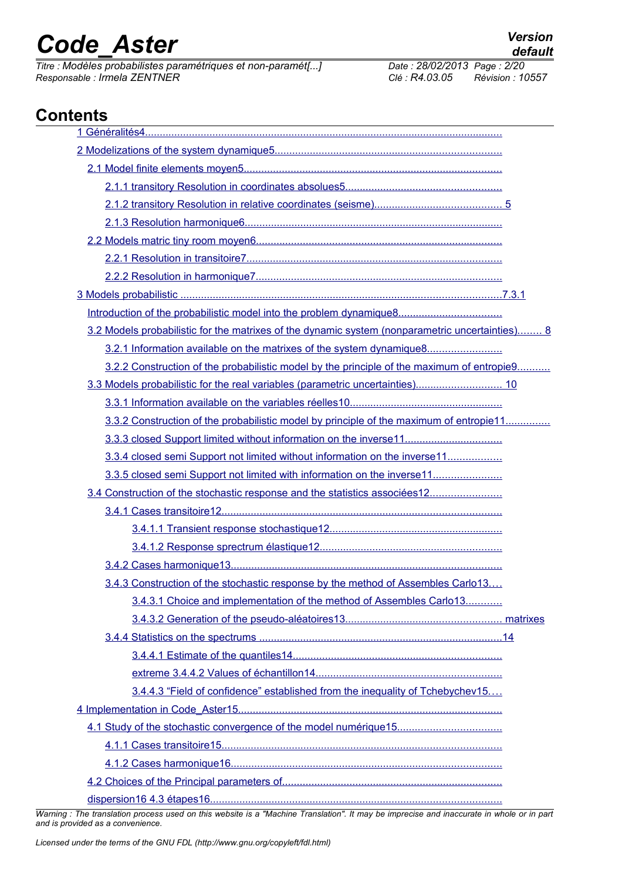*Titre : Modèles probabilistes paramétriques et non-paramét[...] Date : 28/02/2013 Page : 2/20 Responsable : Irmela ZENTNER Clé : R4.03.05 Révision : 10557*

## **Contents**

| 3.2 Models probabilistic for the matrixes of the dynamic system (nonparametric uncertainties) 8 |  |
|-------------------------------------------------------------------------------------------------|--|
| 3.2.1 Information available on the matrixes of the system dynamique8                            |  |
| 3.2.2 Construction of the probabilistic model by the principle of the maximum of entropie9      |  |
| 3.3 Models probabilistic for the real variables (parametric uncertainties) 10                   |  |
|                                                                                                 |  |
| 3.3.2 Construction of the probabilistic model by principle of the maximum of entropie11         |  |
|                                                                                                 |  |
| 3.3.4 closed semi Support not limited without information on the inverse11                      |  |
| 3.3.5 closed semi Support not limited with information on the inverse11                         |  |
| 3.4 Construction of the stochastic response and the statistics associées12                      |  |
|                                                                                                 |  |
|                                                                                                 |  |
|                                                                                                 |  |
|                                                                                                 |  |
| 3.4.3 Construction of the stochastic response by the method of Assembles Carlo13                |  |
| 3.4.3.1 Choice and implementation of the method of Assembles Carlo13                            |  |
|                                                                                                 |  |
|                                                                                                 |  |
|                                                                                                 |  |
|                                                                                                 |  |
| 3.4.4.3 "Field of confidence" established from the inequality of Tchebychev15                   |  |
|                                                                                                 |  |
|                                                                                                 |  |
|                                                                                                 |  |
|                                                                                                 |  |
|                                                                                                 |  |
|                                                                                                 |  |

*Warning : The translation process used on this website is a "Machine Translation". It may be imprecise and inaccurate in whole or in part and is provided as a convenience.*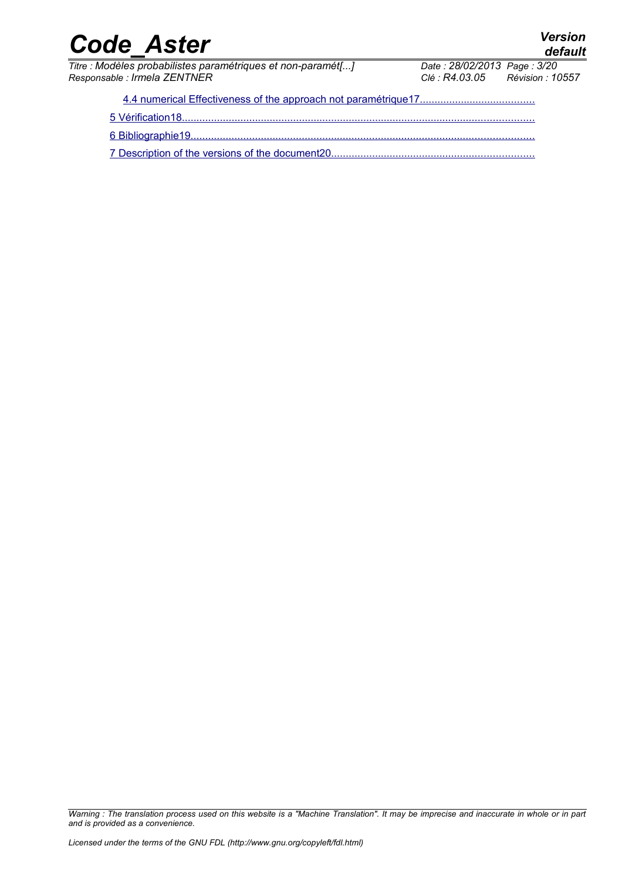*Titre : Modèles probabilistes paramétriques et non-paramét[...] Date : 28/02/20*<br>Responsable : Irmela ZENTNER *Responsable : Irmela ZENTNER Clé : R4.03.05 Révision : 10557*

*default*<br>Date : 28/02/2013 Page : 3/20

 [4.4 numerical Effectiveness of the approach not paramétrique17 .......................................](#page-16-0)  [5 Vérification18 ........................................................................................................................](#page-17-0)  [6 Bibliographie19 .....................................................................................................................](#page-18-0) 7 Description of the versions of the document20..................................

*Warning : The translation process used on this website is a "Machine Translation". It may be imprecise and inaccurate in whole or in part and is provided as a convenience.*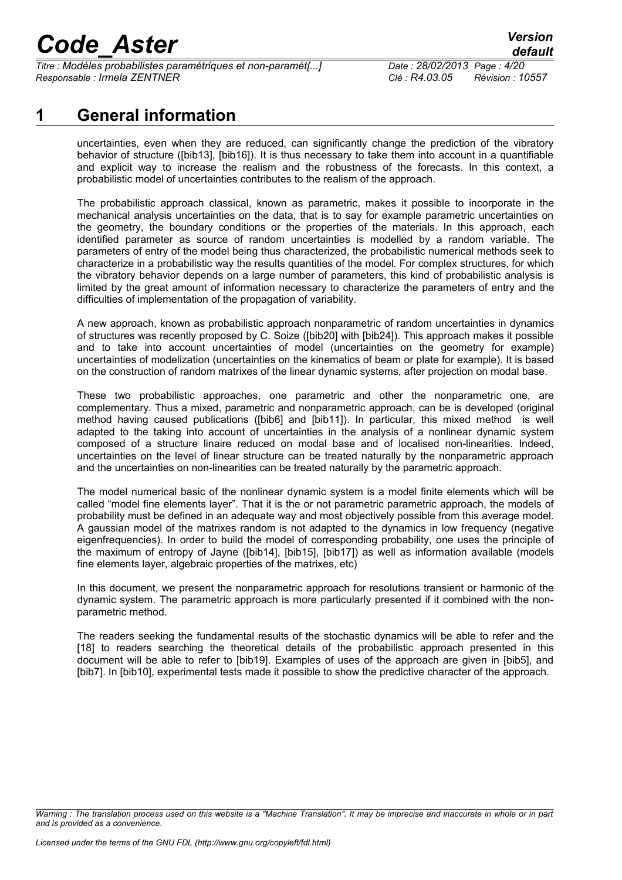*Titre : Modèles probabilistes paramétriques et non-paramét[...] Date : 28/02/2013 Page : 4/20 Responsable : Irmela ZENTNER Clé : R4.03.05 Révision : 10557*

### **1 General information**

<span id="page-3-0"></span>uncertainties, even when they are reduced, can significantly change the prediction of the vibratory behavior of structure ([bib13], [bib16]). It is thus necessary to take them into account in a quantifiable and explicit way to increase the realism and the robustness of the forecasts. In this context, a probabilistic model of uncertainties contributes to the realism of the approach.

The probabilistic approach classical, known as parametric, makes it possible to incorporate in the mechanical analysis uncertainties on the data, that is to say for example parametric uncertainties on the geometry, the boundary conditions or the properties of the materials. In this approach, each identified parameter as source of random uncertainties is modelled by a random variable. The parameters of entry of the model being thus characterized, the probabilistic numerical methods seek to characterize in a probabilistic way the results quantities of the model. For complex structures, for which the vibratory behavior depends on a large number of parameters, this kind of probabilistic analysis is limited by the great amount of information necessary to characterize the parameters of entry and the difficulties of implementation of the propagation of variability.

A new approach, known as probabilistic approach nonparametric of random uncertainties in dynamics of structures was recently proposed by C. Soize ([bib20] with [bib24]). This approach makes it possible and to take into account uncertainties of model (uncertainties on the geometry for example) uncertainties of modelization (uncertainties on the kinematics of beam or plate for example). It is based on the construction of random matrixes of the linear dynamic systems, after projection on modal base.

These two probabilistic approaches, one parametric and other the nonparametric one, are complementary. Thus a mixed, parametric and nonparametric approach, can be is developed (original method having caused publications ([bib6] and [bib11]). In particular, this mixed method is well adapted to the taking into account of uncertainties in the analysis of a nonlinear dynamic system composed of a structure linaire reduced on modal base and of localised non-linearities. Indeed, uncertainties on the level of linear structure can be treated naturally by the nonparametric approach and the uncertainties on non-linearities can be treated naturally by the parametric approach.

The model numerical basic of the nonlinear dynamic system is a model finite elements which will be called "model fine elements layer". That it is the or not parametric parametric approach, the models of probability must be defined in an adequate way and most objectively possible from this average model. A gaussian model of the matrixes random is not adapted to the dynamics in low frequency (negative eigenfrequencies). In order to build the model of corresponding probability, one uses the principle of the maximum of entropy of Jayne ([bib14], [bib15], [bib17]) as well as information available (models fine elements layer, algebraic properties of the matrixes, etc)

In this document, we present the nonparametric approach for resolutions transient or harmonic of the dynamic system. The parametric approach is more particularly presented if it combined with the nonparametric method.

The readers seeking the fundamental results of the stochastic dynamics will be able to refer and the [18] to readers searching the theoretical details of the probabilistic approach presented in this document will be able to refer to [bib19]. Examples of uses of the approach are given in [bib5], and [bib7]. In [bib10], experimental tests made it possible to show the predictive character of the approach.

*Warning : The translation process used on this website is a "Machine Translation". It may be imprecise and inaccurate in whole or in part and is provided as a convenience.*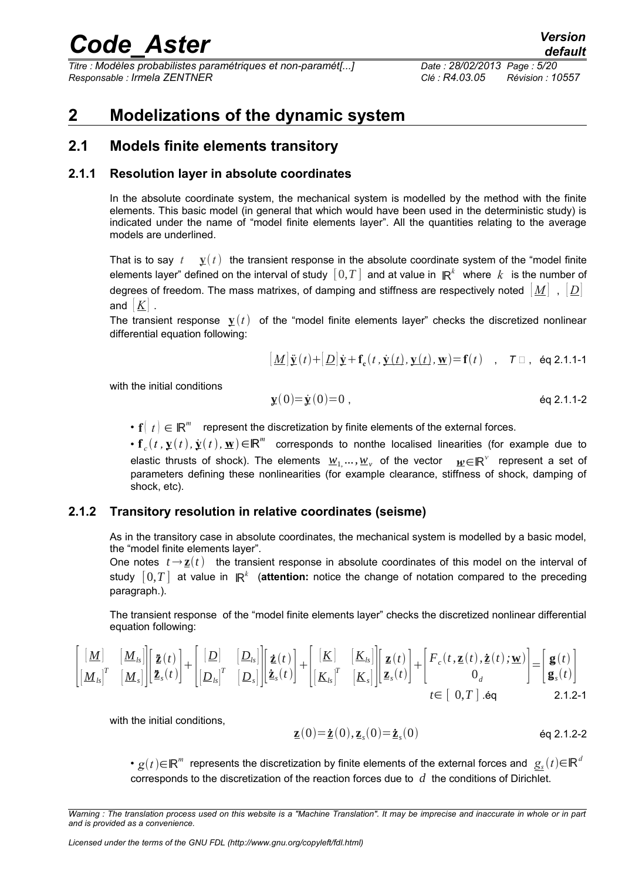*Titre : Modèles probabilistes paramétriques et non-paramét[...] Date : 28/02/2013 Page : 5/20 Responsable : Irmela ZENTNER Clé : R4.03.05 Révision : 10557*

### <span id="page-4-3"></span>**2 Modelizations of the dynamic system**

### <span id="page-4-2"></span>**2.1 Models finite elements transitory**

### **2.1.1 Resolution layer in absolute coordinates**

<span id="page-4-1"></span>In the absolute coordinate system, the mechanical system is modelled by the method with the finite elements. This basic model (in general that which would have been used in the deterministic study) is indicated under the name of "model finite elements layer". All the quantities relating to the average models are underlined.

That is to say  $t \mathbf{y}(t)$  the transient response in the absolute coordinate system of the "model finite" elements layer" defined on the interval of study  $\,[\,0,T\,]$  and at value in  $\,\mathsf{I\!R}^k\,$  where  $\,k\,$  is the number of degrees of freedom. The mass matrixes, of damping and stiffness are respectively noted [ *M* ] , [ *D*] and  $|K|$ .

The transient response  $\mathbf{y}(t)$  of the "model finite elements layer" checks the discretized nonlinear differential equation following:

$$
\left[\underline{M}\right]\ddot{\underline{\mathbf{y}}}(t) + \left[\underline{D}\right]\dot{\underline{\mathbf{y}}} + \underline{\mathbf{f}}_{\mathbf{c}}(t,\dot{\underline{\mathbf{y}}}(t),\underline{\mathbf{y}}(t),\underline{\mathbf{w}}) = \underline{\mathbf{f}}(t) \quad , \quad \mathcal{T} \Box , \text{ eq 2.1.1-1}
$$

with the initial conditions

$$
\mathbf{y}(0) = \dot{\mathbf{y}}(0) = 0 ,\qquad \qquad \text{Eq 2.1.1-2}
$$

•  $\mathbf{f}(|t|) \in \mathbb{R}^m$  represent the discretization by finite elements of the external forces.

•  $f_c(t, y(t), \dot{y}(t), \underline{w}) \in \mathbb{R}^m$  corresponds to nonthe localised linearities (for example due to elastic thrusts of shock). The elements *w*1, ...*,w<sup>v</sup>* of the vector *w*∈ℝ represent a set of parameters defining these nonlinearities (for example clearance, stiffness of shock, damping of shock, etc).

#### **2.1.2 Transitory resolution in relative coordinates (seisme)**

<span id="page-4-0"></span>As in the transitory case in absolute coordinates, the mechanical system is modelled by a basic model, the "model finite elements layer".

One notes  $t \rightarrow \mathbf{z}(t)$  the transient response in absolute coordinates of this model on the interval of  $\mathsf{study} \ [ \ 0, T \ ]$  at value in  $\,\mathsf{I\!R}^k \,$  (**attention:** notice the change of notation compared to the preceding paragraph.).

The transient response of the "model finite elements layer" checks the discretized nonlinear differential equation following:

$$
\begin{bmatrix}\n\begin{bmatrix}\n\underline{M}\n\end{bmatrix} & \begin{bmatrix}\n\underline{M}_{ls}\n\end{bmatrix}\n\begin{bmatrix}\n\tilde{\mathbf{z}}(t) \\
\tilde{\mathbf{z}}(t)\n\end{bmatrix} + \n\begin{bmatrix}\n[\underline{D}]\n\end{bmatrix} & \begin{bmatrix}\n\underline{D}_{ls}\n\end{bmatrix}\n\begin{bmatrix}\n\tilde{\mathbf{z}}(t) \\
\tilde{\mathbf{z}}_s(t)\n\end{bmatrix} + \n\begin{bmatrix}\n[\underline{K}]\n\end{bmatrix} & \begin{bmatrix}\nK_{ls}\n\end{bmatrix}\n\begin{bmatrix}\n\mathbf{z}(t) \\
\mathbf{z}_s(t)\n\end{bmatrix} + \n\begin{bmatrix}\nF_c(t, \mathbf{z}(t), \dot{\mathbf{z}}(t); \mathbf{w}) \\
0_d\n\end{bmatrix} = \n\begin{bmatrix}\n\mathbf{g}(t) \\
\mathbf{g}_s(t)\n\end{bmatrix}
$$
\n
$$
t \in [\ 0, T ] \ . \mathrm{eq} \qquad 2.1.2-1
$$

with the initial conditions,

$$
\underline{\mathbf{z}}(0) = \dot{\underline{\mathbf{z}}}(0), \underline{\mathbf{z}}_s(0) = \dot{\underline{\mathbf{z}}}_s(0) \qquad \qquad \text{Eq 2.1.2-2}
$$

 $\bullet$   $g(t)$ ∈ℝ<sup>‴</sup> represents the discretization by finite elements of the external forces and  $\, \underline{g_s}(t)$ ∈ℝ $^d$ corresponds to the discretization of the reaction forces due to *d* the conditions of Dirichlet.

*Warning : The translation process used on this website is a "Machine Translation". It may be imprecise and inaccurate in whole or in part and is provided as a convenience.*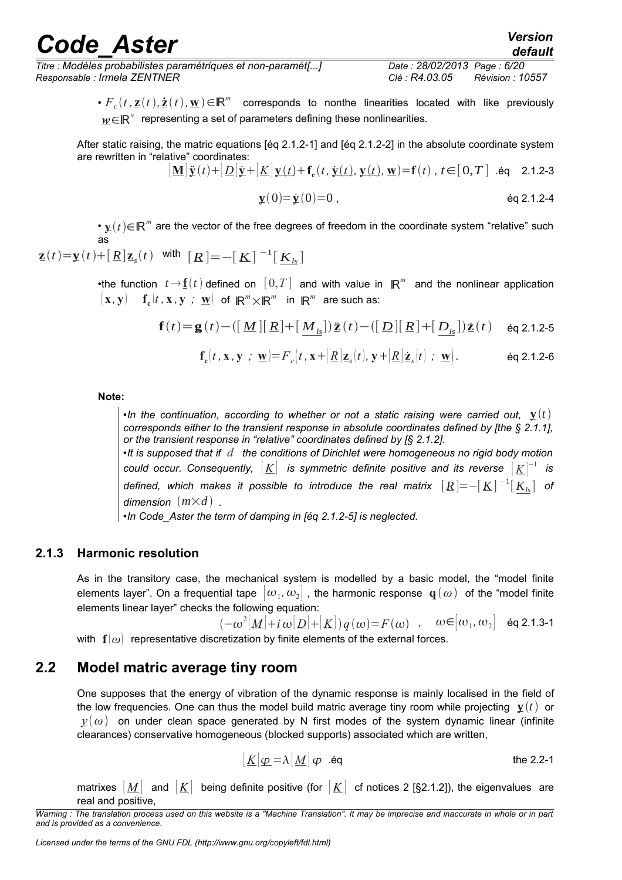•  $F_c(t, z(t), \dot{z}(t), \mathbf{w}) \in \mathbb{R}^m$  corresponds to nonthe linearities located with like previously  $\textbf{\textit{w}}\textbf{ \in} \textsf{I}\textsf{R}^{\textsf{v}}$  representing a set of parameters defining these nonlinearities.

After static raising, the matric equations [éq 2.1.2-1] and [éq 2.1.2-2] in the absolute coordinate system are rewritten in "relative" coordinates:

$$
[\mathbf{M}]\ddot{\mathbf{y}}(t) + [\underline{D}]\dot{\mathbf{y}} + [\underline{K}]\mathbf{y}(t) + \mathbf{f}_{c}(t, \dot{\mathbf{y}}(t), \mathbf{y}(t), \mathbf{w}) = \mathbf{f}(t), t \in [0, T] \text{ .\'eq } 2.1.2-3
$$
  

$$
\mathbf{y}(0) = \dot{\mathbf{y}}(0) = 0, \text{\'eq } 2.1.2-4
$$

•  $\mathbf{y}(t)$ ∈ℝ<sup>*m*</sup> are the vector of the free degrees of freedom in the coordinate system "relative" such as

$$
\underline{\mathbf{z}}(t) = \underline{\mathbf{y}}(t) + [\underline{R}]\underline{\mathbf{z}}_s(t) \quad \text{with} \quad [\underline{R}] = -[\underline{K}]^{-1}[\underline{K}_{ls}]
$$

•the function  $t \rightarrow \underline{\mathbf{f}}(t)$  defined on  $[0,T]$  and with value in  $\mathbb{R}^m$  and the nonlinear application  $(\mathbf{x},\mathbf{y})$   $\mathbf{f}_{\mathbf{c}}(t,\mathbf{x},\mathbf{y}$  *;*  $\underline{\mathbf{w}})$  of  $\mathbb{R}^m{\times}\mathbb{R}^m$  in  $\mathbb{R}^m$  are such as:

$$
\mathbf{f}(t) = \mathbf{g}(t) - \left(\left[\underline{M}\right] \left[\underline{R}\right] + \left[\underline{M}_{ls}\right]\right) \underline{\ddot{\mathbf{z}}}(t) - \left(\left[\underline{D}\right] \left[\underline{R}\right] + \left[\underline{D}_{ls}\right]\right) \underline{\dot{\mathbf{z}}}(t) \quad \text{ eq 2.1.2-5}
$$

$$
\mathbf{f}_{\mathbf{c}}(t, \mathbf{x}, \mathbf{y} ; \mathbf{\underline{w}}) = F_c(t, \mathbf{x} + [\underline{R}] \mathbf{z}_s(t), \mathbf{y} + [\underline{R}] \mathbf{\underline{z}}_s(t) ; \mathbf{\underline{w}}).
$$
 eq 2.1.2-6

**Note:**

•*In the continuation, according to whether or not a static raising were carried out,*  $\mathbf{y}(t)$ *corresponds either to the transient response in absolute coordinates defined by [the § 2.1.1], or the transient response in "relative" coordinates defined by [§ 2.1.2].*

•*It is supposed that if d the conditions of Dirichlet were homogeneous no rigid body motion*  $\,$  could occur. Consequently,  $\, [\underline{K}] \,$  is symmetric definite positive and its reverse  $\, [\underline{K}]^{-1} \,$  is *defined, which makes it possible to introduce the real matrix* [*R*]=−[*K*] −1 [*Kls*] *of dimension*  $(m \times d)$ .

•*In Code\_Aster the term of damping in [éq 2.1.2-5] is neglected.*

#### **2.1.3 Harmonic resolution**

<span id="page-5-1"></span>As in the transitory case, the mechanical system is modelled by a basic model, the "model finite elements layer". On a frequential tape  $\,|\,\omega_1,\omega_2|\,$  , the harmonic response  $\,$  **q** $(\,\omega)\,$  of the "model finite elements linear layer" checks the following equation:

$$
(-\omega^2[\underline{M}] + i\,\omega[\underline{D}] + [\underline{K}])q(\omega) = F(\omega) \quad , \quad \omega \in [\omega_1, \omega_2] \quad \text{éq 2.1.3-1}
$$
\n
$$
\text{representative discretization by finite elements of the external forces}
$$

<span id="page-5-0"></span>with  $\mathbf{f}(\omega)$  representative discretization by finite elements of the external forces.

### **2.2 Model matric average tiny room**

One supposes that the energy of vibration of the dynamic response is mainly localised in the field of the low frequencies. One can thus the model build matric average tiny room while projecting  $\mathbf{y}(t)$  or  $y(\omega)$  on under clean space generated by N first modes of the system dynamic linear (infinite clearances) conservative homogeneous (blocked supports) associated which are written,

$$
[\underline{K}]\underline{\varphi} = \lambda[\underline{M}]\varphi \quad \text{eq} \tag{the 2.2-1}
$$

matrixes  $[M]$  and  $[K]$  being definite positive (for  $[K]$  cf notices 2 [§2.1.2]), the eigenvalues are real and positive,

*Warning : The translation process used on this website is a "Machine Translation". It may be imprecise and inaccurate in whole or in part and is provided as a convenience.*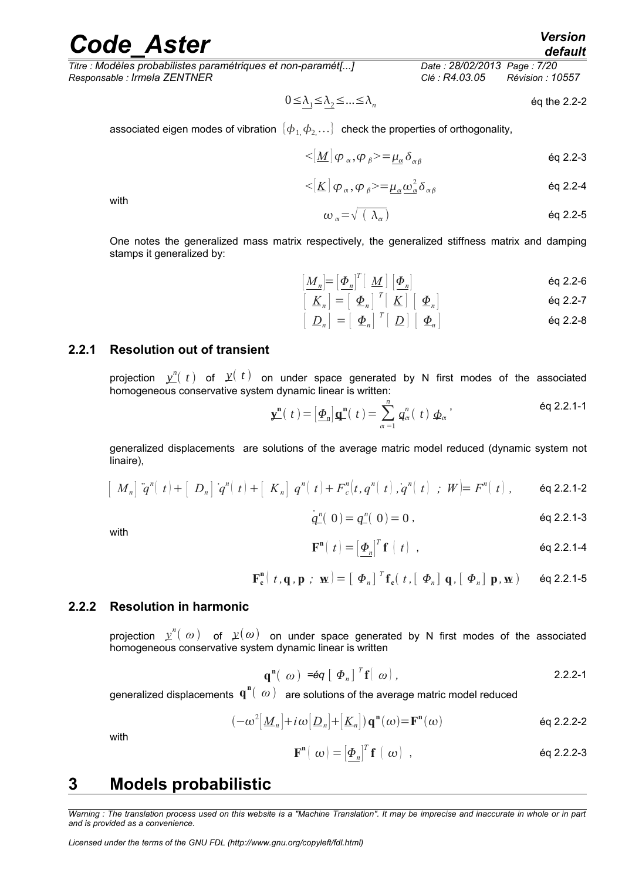*Titre : Modèles probabilistes paramétriques et non-paramét[...] Date : 28/02/2013 Page : 7/20 Responsable : Irmela ZENTNER Clé : R4.03.05 Révision : 10557*

$$
0 \leq \lambda_1 \leq \lambda_2 \leq \ldots \leq \lambda_n
$$
 eq the 2.2-2

associated eigen modes of vibration  $\{\boldsymbol{\phi}_1,\boldsymbol{\phi}_2,\ldots\}$  check the properties of orthogonality,

$$
\langle \mathbf{M} | \varphi_{\alpha}, \varphi_{\beta} \rangle = \underline{\mu_{\alpha}} \, \delta_{\alpha\beta} \tag{6q 2.2-3}
$$

$$
\langle [K] \varphi_{\alpha}, \varphi_{\beta} \rangle = \mu_{\alpha} \omega_{\alpha}^{2} \delta_{\alpha \beta} \qquad \text{Eq 2.2-4}
$$

with

$$
\omega_{\alpha} = \sqrt{(\lambda_{\alpha})} \qquad \qquad \text{6q 2.2-5}
$$

One notes the generalized mass matrix respectively, the generalized stiffness matrix and damping stamps it generalized by:

$$
\left[\underline{M}_n\right] = \left[\underline{\Phi}_n\right]^T \left[\underline{M}\right] \left[\underline{\Phi}_n\right] \tag{6q 2.2-6}
$$

$$
\left[\begin{array}{c}\underline{K}_n\end{array}\right]=\left[\begin{array}{c}\underline{\Phi}_n\end{array}\right]^T\left[\begin{array}{c}\underline{K}\end{array}\right]\left[\begin{array}{c}\underline{\Phi}_n\end{array}\right]
$$

$$
\left[\begin{array}{c}\nD_n\n\end{array}\right] = \left[\begin{array}{c}\n\Phi_n\n\end{array}\right]^T \left[\begin{array}{c}\nD\n\end{array}\right] \left[\begin{array}{c}\n\Phi_n\n\end{array}\right]
$$

#### **2.2.1 Resolution out of transient**

<span id="page-6-2"></span>projection  $y''_{-}(t)$  of  $y(t)$  on under space generated by N first modes of the associated homogeneous conservative system dynamic linear is written:

$$
\mathbf{y}^{\mathbf{n}}(t) = \left[\underline{\boldsymbol{\Phi}}_{n}\right] \mathbf{q}^{\mathbf{n}}(t) = \sum_{\alpha=1}^{n} q_{\alpha}^{n}(t) \underline{\boldsymbol{\Phi}}_{\alpha}^{\mathbf{a}} \tag{6q 2.2.1-1}
$$

generalized displacements are solutions of the average matric model reduced (dynamic system not linaire),

$$
\left[ M_n \right] \ddot{q}^n \left( t \right) + \left[ D_n \right] \dot{q}^n \left( t \right) + \left[ K_n \right] q^n \left( t \right) + F_c^n \left( t, q^n \left( t \right), q^n \left( t \right) ; W \right) = F^n \left( t \right), \quad \text{eq 2.2.1-2}
$$

with

$$
\dot{q}^{n}(0) = q^{n}(0) = 0, \qquad \qquad \text{eq 2.2.1-3}
$$

$$
\mathbf{F}^{\mathbf{n}}[t] = [\underline{\boldsymbol{\Phi}}_{n}]^{T} \mathbf{f}(t), \qquad \text{Eq 2.2.1-4}
$$

$$
\mathbf{F}_{\mathbf{c}}^{\mathbf{n}}(t, \mathbf{q}, \mathbf{p}; \mathbf{w}) = [\boldsymbol{\Phi}_n]^T \mathbf{f}_{\mathbf{c}}(t, [\boldsymbol{\Phi}_n] \mathbf{q}, [\boldsymbol{\Phi}_n] \mathbf{p}, \mathbf{w}) \text{ eq 2.2.1-5}
$$

#### **2.2.2 Resolution in harmonic**

<span id="page-6-1"></span>projection  $\psi''(|\omega)$  of  $\psi(\omega)$  on under space generated by N first modes of the associated homogeneous conservative system dynamic linear is written

$$
\mathbf{q}^{\mathbf{n}}\left(\begin{array}{c}\omega\end{array}\right)=\mathbf{\acute{e}q}\left[\begin{array}{c}\Phi_{n}\end{array}\right]^{T}\mathbf{f}\left(\begin{array}{c}\omega\end{array}\right),\tag{2.2.2-1}
$$

generalized displacements  $\mathbf{q}^{\mathbf{n}}(|\omega)$  are solutions of the average matric model reduced

$$
(-\omega^2[\underline{M}_n]+i\omega[\underline{D}_n]+[\underline{K}_n])\mathbf{q}^{\mathbf{n}}(\omega)=\mathbf{F}^{\mathbf{n}}(\omega)
$$

with

$$
\mathbf{F}^{\mathbf{n}}(|\omega) = [\underline{\boldsymbol{\Phi}}_{n}]^{T} \mathbf{f}(|\omega|), \qquad \text{Eq 2.2.2-3}
$$

### <span id="page-6-0"></span>**3 Models probabilistic**

*Warning : The translation process used on this website is a "Machine Translation". It may be imprecise and inaccurate in whole or in part and is provided as a convenience.*

*Licensed under the terms of the GNU FDL (http://www.gnu.org/copyleft/fdl.html)*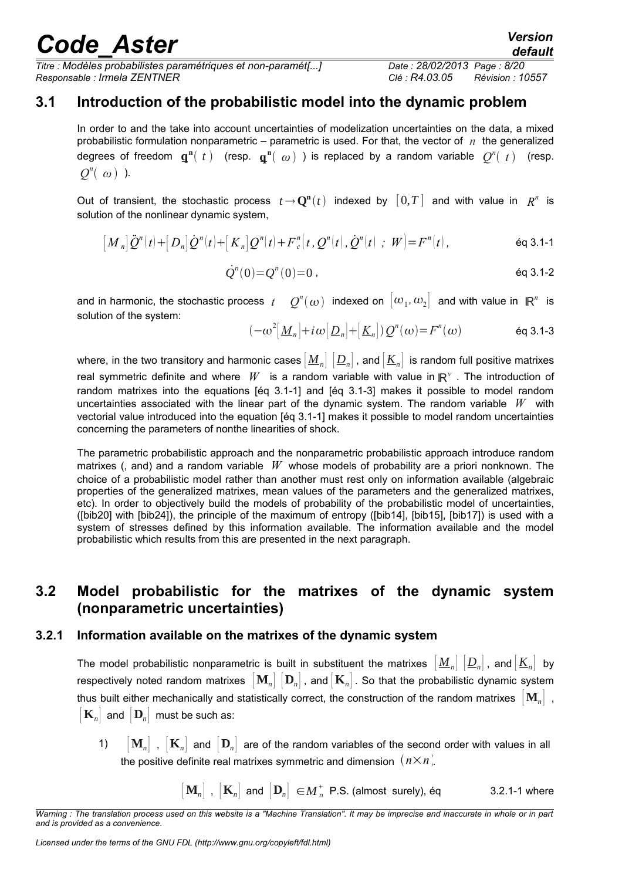*Titre : Modèles probabilistes paramétriques et non-paramét[...] Date : 28/02/2013 Page : 8/20 Responsable : Irmela ZENTNER Clé : R4.03.05 Révision : 10557*

### **3.1 Introduction of the probabilistic model into the dynamic problem**

<span id="page-7-2"></span>In order to and the take into account uncertainties of modelization uncertainties on the data, a mixed probabilistic formulation nonparametric – parametric is used. For that, the vector of  $n$  the generalized degrees of freedom  $\mathbf{q}^{\mathbf{n}}(t)$  (resp.  $\mathbf{q}^{\mathbf{n}}(0)$ ) is replaced by a random variable  $Q^{n}(t)$  (resp.  $Q^n(\omega)$  ).

Out of transient, the stochastic process  $t \to \mathbf{Q}^n(t)$  indexed by  $[\,0,T\,]$  and with value in  $R^n$  is solution of the nonlinear dynamic system,

$$
[M_n] \ddot{Q}^n(t) + [D_n] \dot{Q}^n(t) + [K_n] Q^n(t) + F_c^n(t, Q^n(t), \dot{Q}^n(t) ; W] = F^n(t),
$$

$$
\dot{Q}^{n}(0) = Q^{n}(0) = 0 \; , \qquad \qquad \text{Eq 3.1-2}
$$

and in harmonic, the stochastic process  $t$   $\in$   $\mathcal{Q}^n(\omega)$  indexed on  $\big|\omega_1,\omega_2\big|$  and with value in  $\mathbb{R}^n$  is solution of the system:

$$
(-\omega^2[\underline{M}_n]+i\omega[\underline{D}_n]+[\underline{K}_n])Q^n(\omega)=F^n(\omega) \qquad \text{Eq 3.1-3}
$$

where, in the two transitory and harmonic cases  $\left[\underline{M}_n\right] \left[\underline{D}_n\right]$ , and  $\left[\underline{K}_n\right]$  is random full positive matrixes real symmetric definite and where  $|W|$  is a random variable with value in  $\mathbb{R}^\vee$  . The introduction of random matrixes into the equations [éq 3.1-1] and [éq 3.1-3] makes it possible to model random uncertainties associated with the linear part of the dynamic system. The random variable *W* with vectorial value introduced into the equation [éq 3.1-1] makes it possible to model random uncertainties concerning the parameters of nonthe linearities of shock.

The parametric probabilistic approach and the nonparametric probabilistic approach introduce random matrixes (, and) and a random variable *W* whose models of probability are a priori nonknown. The choice of a probabilistic model rather than another must rest only on information available (algebraic properties of the generalized matrixes, mean values of the parameters and the generalized matrixes, etc). In order to objectively build the models of probability of the probabilistic model of uncertainties, ([bib20] with [bib24]), the principle of the maximum of entropy ([bib14], [bib15], [bib17]) is used with a system of stresses defined by this information available. The information available and the model probabilistic which results from this are presented in the next paragraph.

### <span id="page-7-1"></span>**3.2 Model probabilistic for the matrixes of the dynamic system (nonparametric uncertainties)**

#### **3.2.1 Information available on the matrixes of the dynamic system**

<span id="page-7-0"></span>The model probabilistic nonparametric is built in substituent the matrixes  $\left[\underline{M}_n\right]\left[\underline{D}_n\right]$ , and  $\left[\underline{K}_n\right]$  by respectively noted random matrixes  $\begin{bmatrix} \mathbf{M}_n \end{bmatrix} \begin{bmatrix} \mathbf{D}_n \end{bmatrix}$ , and  $\begin{bmatrix} \mathbf{K}_n \end{bmatrix}$ . So that the probabilistic dynamic system thus built either mechanically and statistically correct, the construction of the random matrixes [ **M***n*] ,  $\left| \mathbf{K}_n \right|$  and  $\left| \mathbf{D}_n \right|$  must be such as:

- 1)  $\mathbf{M}_n$ ,  $\mathbf{K}_n$  and  $\mathbf{D}_n$  are of the random variables of the second order with values in all the positive definite real matrixes symmetric and dimension  $(n \times n)$ .
	- $\left[ \mathbf{M}_{n}\right]$  ,  $\left[ \mathbf{K}_{n}\right]$  and  $\left[ \mathbf{D}_{n}\right] \ \in$   $M_{n}^{+}$  P.S. (almost surely), éq  $3.2.1$ -1 where

*Warning : The translation process used on this website is a "Machine Translation". It may be imprecise and inaccurate in whole or in part and is provided as a convenience.*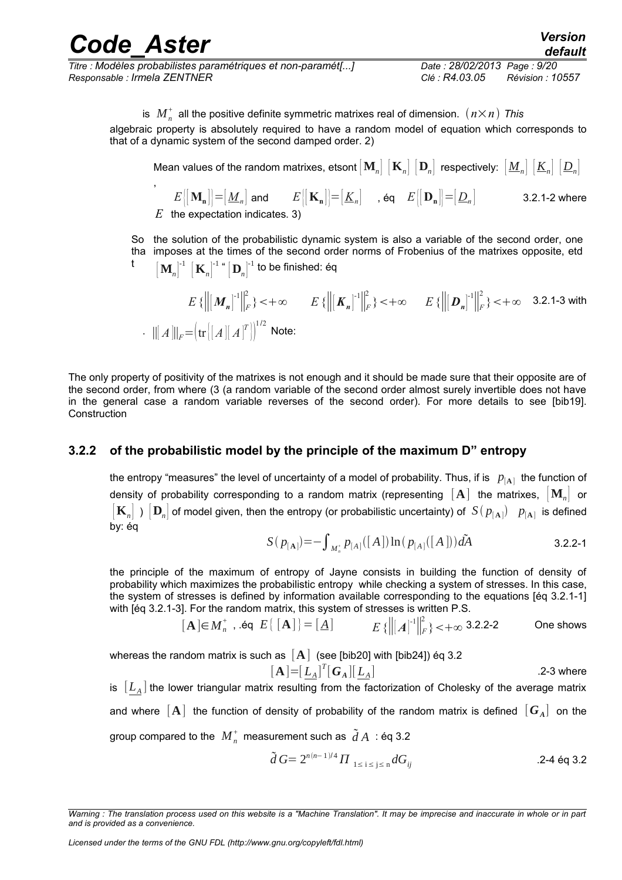| <b>Code Aster</b>                                                                              |                                               | <b>Version</b><br>default |
|------------------------------------------------------------------------------------------------|-----------------------------------------------|---------------------------|
| Titre : Modèles probabilistes paramétriques et non-paramét[]<br>Responsable : Irmela ZENTNER . | Date: 28/02/2013 Page: 9/20<br>Clé : R4.03.05 | Révision : 10557          |

is  $\;M_n^{\scriptscriptstyle +} \;$  all the positive definite symmetric matrixes real of dimension.  $\; (n \times n) \;$  This algebraic property is absolutely required to have a random model of equation which corresponds to that of a dynamic system of the second damped order. 2)

Mean values of the random matrixes, etsont  $\begin{bmatrix} \mathbf{M}_n \end{bmatrix} \begin{bmatrix} \mathbf{K}_n \end{bmatrix} \begin{bmatrix} \mathbf{D}_n \end{bmatrix}$  respectively:  $\begin{bmatrix} \underline{M}_n \end{bmatrix} \begin{bmatrix} \underline{K}_n \end{bmatrix} \begin{bmatrix} \underline{D}_n \end{bmatrix}$ 

,  $E\{\mathbf{M}_{\mathbf{n}}\} = [\underline{M}_{n}]$  and  $E\{\mathbf{K}_{\mathbf{n}}\} = [\underline{K}_{n}]$  , éq  $E\{\mathbf{D}_{\mathbf{n}}\} = [\underline{D}_{n}]$  3.2.1-2 where *E* the expectation indicates. 3)

So the solution of the probabilistic dynamic system is also a variable of the second order, one tha imposes at the times of the second order norms of Frobenius of the matrixes opposite, etd t  $\left[\left. \mathbf{M}_{n}\right|^{^{-1}}\left[\mathbf{K}_{n}\right]^{^{-1\,\,\mathrm{u}}}\left[\mathbf{D}_{n}\right]^{^{-1}}$  to be finished: éq

$$
E\left\{ \left\| \left[ \mathbf{M}_n \right]^{-1} \right\|_F^2 \right\} < +\infty \qquad E\left\{ \left\| \left[ \mathbf{K}_n \right]^{-1} \right\|_F^2 \right\} < +\infty \qquad E\left\{ \left\| \left[ \mathbf{D}_n \right]^{-1} \right\|_F^2 \right\} < +\infty \qquad \text{3.2.1-3 with}
$$

$$
\cdot \quad \left\| \left[ \mathbf{A} \right] \right\|_F = \left( \text{tr} \left[ \left[ \mathbf{A} \right] \left[ \mathbf{A} \right]^{T} \right] \right)^{1/2} \text{ Note:}
$$

The only property of positivity of the matrixes is not enough and it should be made sure that their opposite are of the second order, from where (3 (a random variable of the second order almost surely invertible does not have in the general case a random variable reverses of the second order). For more details to see [bib19]. Construction

#### **3.2.2 of the probabilistic model by the principle of the maximum D" entropy**

<span id="page-8-0"></span>the entropy "measures" the level of uncertainty of a model of probability. Thus, if is  $|p_{[\rm A]}|$  the function of density of probability corresponding to a random matrix (representing [**A**] the matrixes, [ **M***n*] or  $\left[\mathbf{K}_n\right]$  )  $\left[\mathbf{D}_n\right]$  of model given, then the entropy (or probabilistic uncertainty) of  $\left[S(p_{[{\bf A}]})\right]\left[p_{[{\bf A}]}\right]$  is defined by: éq

$$
S(p_{[A]}) = -\int_{M_n^*} p_{[A]}([A]) \ln (p_{[A]}([A])) dA \qquad 3.2.2-1
$$

the principle of the maximum of entropy of Jayne consists in building the function of density of probability which maximizes the probabilistic entropy while checking a system of stresses. In this case, the system of stresses is defined by information available corresponding to the equations [éq 3.2.1-1] with [éq 3.2.1-3]. For the random matrix, this system of stresses is written P.S.

$$
[\mathbf{A}] \in M_n^+, \text{ .\'eq } E\{ [\mathbf{A}] \} = [\mathbf{A}] \qquad E\{ ||[A]^{-1}||_F^2 \} < +\infty \text{ 3.2.2-2} \qquad \text{One shows}
$$

whereas the random matrix is such as [**A**] (see [bib20] with [bib24]) éq 3.2

$$
[\mathbf{A}] = [\underline{L}_A]^T [\mathbf{G}_A][\underline{L}_A]
$$
 2-3 where

is  $\left[ L_{A}\right]$  the lower triangular matrix resulting from the factorization of Cholesky of the average matrix and where  $\,[\,{\bf A}\,]$  the function of density of probability of the random matrix is defined  $\,[\,{\bf G}_A]\,$  on the group compared to the  $\ M_n^+$  measurement such as  $\ \widetilde{d}\, A\;$  : éq 3.2

$$
\tilde{d} G = 2^{n(n-1)/4} \prod_{1 \le i \le j \le n} dG_{ij}
$$

*Warning : The translation process used on this website is a "Machine Translation". It may be imprecise and inaccurate in whole or in part and is provided as a convenience.*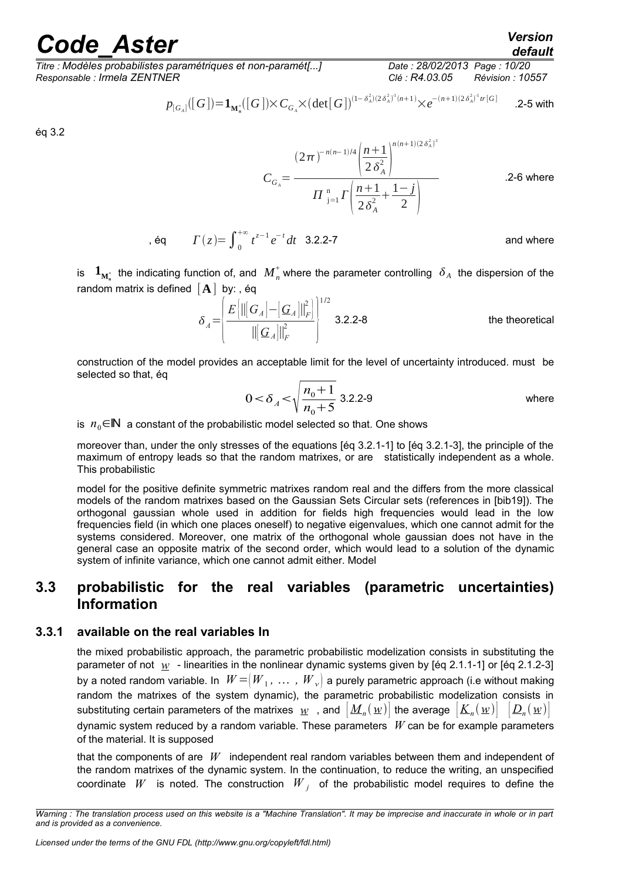*Titre : Modèles probabilistes paramétriques et non-paramét[...] Date : 28/02/2013 Page : 10/20 Responsable : Irmela ZENTNER Clé : R4.03.05 Révision : 10557*

*Licensed under the terms of the GNU FDL (http://www.gnu.org/copyleft/fdl.html)*

$$
p_{[G_A]}([G]) = \mathbf{1}_{\mathbf{M}_n^*}([G]) \times C_{G_A} \times (\det[G])^{(1-\delta_A^2)(2\delta_A^2)^1(n+1)} \times e^{-(n+1)(2\delta_A^2)^1 tr[G]} \qquad \text{.2-5 with}
$$

éq 3.2

$$
C_{G_A} = \frac{(2\pi)^{-n(n-1)/4} \left(\frac{n+1}{2\delta_A^2}\right)^{n(n+1)(2\delta_A^2)^1}}{\prod_{j=1}^n \Gamma\left(\frac{n+1}{2\delta_A^2} + \frac{1-j}{2}\right)}
$$
 2-6 where

, éq  $\Gamma(z) = \int_{0}^{+\infty} t^{z-1} e^{-t} dt$  3.2.2-7 and where

is  $\mathbf{1}_{M_n^+}$  the indicating function of, and  $\overline{M}_n^+$  where the parameter controlling  $\delta_A$  the dispersion of the random matrix is defined  $[A]$  by: , éq

$$
\delta_A = \left\{ \frac{E\left[\left\| \begin{bmatrix} G_A \end{bmatrix} - \begin{bmatrix} G_A \end{bmatrix} \right\|_F^2}{\left\| \begin{bmatrix} G_A \end{bmatrix} \right\|_F^2} \right\}^{1/2} \right\}
$$
 3.2.2-8 the theoretical

construction of the model provides an acceptable limit for the level of uncertainty introduced. must be selected so that, éq

$$
0 < \delta_A < \sqrt{\frac{n_0 + 1}{n_0 + 5}} \text{ 3.2.2-9}
$$
 where

is  $n_0 \in \mathbb{N}$  a constant of the probabilistic model selected so that. One shows

moreover than, under the only stresses of the equations [éq 3.2.1-1] to [éq 3.2.1-3], the principle of the maximum of entropy leads so that the random matrixes, or are statistically independent as a whole. This probabilistic

model for the positive definite symmetric matrixes random real and the differs from the more classical models of the random matrixes based on the Gaussian Sets Circular sets (references in [bib19]). The orthogonal gaussian whole used in addition for fields high frequencies would lead in the low frequencies field (in which one places oneself) to negative eigenvalues, which one cannot admit for the systems considered. Moreover, one matrix of the orthogonal whole gaussian does not have in the general case an opposite matrix of the second order, which would lead to a solution of the dynamic system of infinite variance, which one cannot admit either. Model

### <span id="page-9-1"></span>**3.3 probabilistic for the real variables (parametric uncertainties) Information**

#### **3.3.1 available on the real variables In**

<span id="page-9-0"></span>the mixed probabilistic approach, the parametric probabilistic modelization consists in substituting the parameter of not *w* - linearities in the nonlinear dynamic systems given by [éq 2.1.1-1] or [éq 2.1.2-3] by a noted random variable. In  $\mathit{W} = \not \vert \mathit{W}_1, \; \dots \; , \; \mathit{W}_\mathrm{\nu} \not \vert$  a purely parametric approach (i.e without making random the matrixes of the system dynamic), the parametric probabilistic modelization consists in substituting certain parameters of the matrixes  $w$  , and  $\big|\bm{M}_n(w)\big|$  the average  $\big|\bm{K}_n(w)\big|$   $\big|\bm{D}_n(w)\big|$ dynamic system reduced by a random variable. These parameters *W* can be for example parameters of the material. It is supposed

that the components of are *W* independent real random variables between them and independent of the random matrixes of the dynamic system. In the continuation, to reduce the writing, an unspecified coordinate  $W$  is noted. The construction  $W_{j}$  of the probabilistic model requires to define the

*Warning : The translation process used on this website is a "Machine Translation". It may be imprecise and inaccurate in whole or in part and is provided as a convenience.*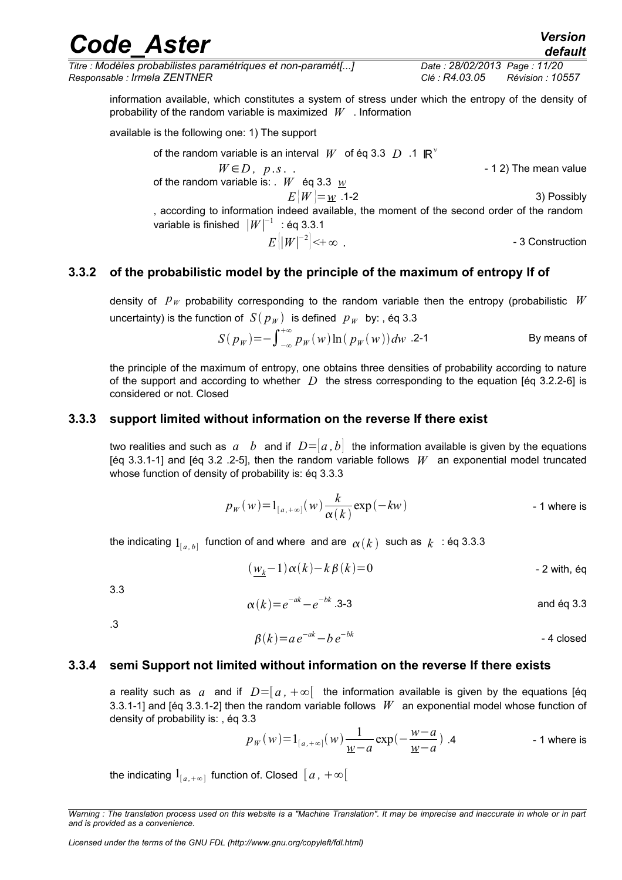*Titre : Modèles probabilistes paramétriques et non-paramét[...] Date : 28/02/2013 Page : 11/20 Responsable : Irmela ZENTNER Clé : R4.03.05 Révision : 10557*

information available, which constitutes a system of stress under which the entropy of the density of probability of the random variable is maximized *W* . Information

available is the following one: 1) The support

of the random variable is an interval  $W$  of éq 3.3  $D$  .1  $\mathbb{R}^{\nu}$  $W \in D$ ,  $p.s.$ . of the random variable is: . *W* éq 3.3 *w*  $E|W| = w$  .1-2 3) Possibly , according to information indeed available, the moment of the second order of the random variable is finished  $\,|W|^{-1}\,$  : éq 3.3.1  $E\big|\big|W\big|^{-2}$ - 3 Construction

#### **3.3.2 of the probabilistic model by the principle of the maximum of entropy If of**

<span id="page-10-2"></span>density of *p<sup>W</sup>* probability corresponding to the random variable then the entropy (probabilistic *W* uncertainty) is the function of  $S(p_W)$  is defined  $p_W$  by:, éq 3.3

$$
S(p_W) = -\int_{-\infty}^{+\infty} p_W(w) \ln(p_W(w)) dw
$$
 .2-1 By means of

the principle of the maximum of entropy, one obtains three densities of probability according to nature of the support and according to whether *D* the stress corresponding to the equation [éq 3.2.2-6] is considered or not. Closed

#### **3.3.3 support limited without information on the reverse If there exist**

<span id="page-10-1"></span>two realities and such as  $a \quad b$  and if  $D=|a, b|$  the information available is given by the equations [éq 3.3.1-1] and [éq 3.2 .2-5], then the random variable follows *W* an exponential model truncated whose function of density of probability is: éq 3.3.3

$$
p_W(w) = 1_{[a, +\infty]}(w) \frac{k}{\alpha(k)} \exp(-kw)
$$
 - 1 where is

the indicating  $\mathbb{1}_{[a,\,b]}$  function of and where and are  $\,\alpha(k)\,$  such as  $\,k\,$   $\,$  : éq 3.3.3  $\,$ 

$$
(\underline{w_k} - 1)\alpha(k) - k\beta(k) = 0
$$
 - 2 with, éq

3.3

$$
\alpha(k) = e^{-ak} - e^{-bk} \cdot 3-3
$$
 and eq 3.3

.3

$$
\beta(k) = ae^{-ak} - be^{-bk}
$$

#### **3.3.4 semi Support not limited without information on the reverse If there exists**

<span id="page-10-0"></span>a reality such as  $a$  and if  $D=[a, +\infty]$  the information available is given by the equations [éq 3.3.1-1] and [éq 3.3.1-2] then the random variable follows *W* an exponential model whose function of density of probability is: , éq 3.3

$$
p_W(w) = 1_{[a, +\infty]}(w) \frac{1}{\underline{w}-a} \exp\left(-\frac{w-a}{\underline{w}-a}\right).
$$
4 - 1 where is

the indicating  $1_{[a,+\infty]}$  function of. Closed  $\, [ \, a \, , \, +\infty [ \, ] \,$ 

## *Code\_Aster Version*

*default*

*Warning : The translation process used on this website is a "Machine Translation". It may be imprecise and inaccurate in whole or in part and is provided as a convenience.*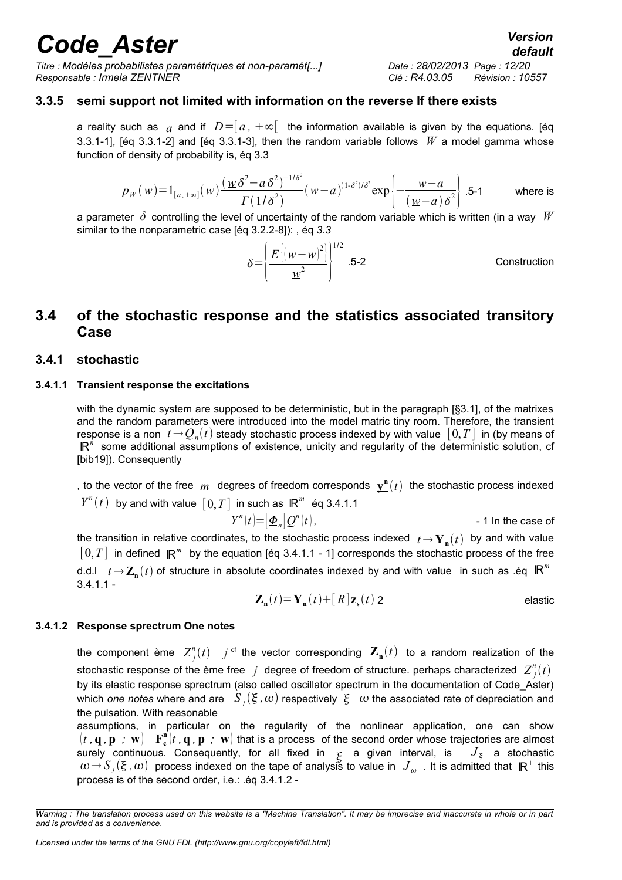*Titre : Modèles probabilistes paramétriques et non-paramét[...] Date : 28/02/2013 Page : 12/20 Responsable : Irmela ZENTNER Clé : R4.03.05 Révision : 10557*

### **3.3.5 semi support not limited with information on the reverse If there exists**

<span id="page-11-4"></span>a reality such as  $a$  and if  $D = [a, +\infty[$  the information available is given by the equations. [éq 3.3.1-1], [éq 3.3.1-2] and [éq 3.3.1-3], then the random variable follows *W* a model gamma whose function of density of probability is, éq 3.3

$$
p_W(w) = 1_{[a, +\infty]}(w) \frac{(\underline{w}\,\delta^2 - a\,\delta^2)^{-1/\delta^2}}{\Gamma(1/\delta^2)}(w - a)^{(1-\delta^2)/\delta^2} \exp\left\{-\frac{w - a}{(\underline{w} - a)\,\delta^2}\right\}.
$$
5-1 where is

a parameter *δ* controlling the level of uncertainty of the random variable which is written (in a way *W* similar to the nonparametric case [éq 3.2.2-8]): , éq *3.3* 

$$
\delta = \left(\frac{E\left[\left(w - \underline{w}\right)^2\right]}{\underline{w}^2}\right)^{1/2} .5-2
$$
 Construction

### <span id="page-11-3"></span>**3.4 of the stochastic response and the statistics associated transitory Case**

#### <span id="page-11-2"></span>**3.4.1 stochastic**

#### **3.4.1.1 Transient response the excitations**

<span id="page-11-1"></span>with the dynamic system are supposed to be deterministic, but in the paragraph [§3.1], of the matrixes and the random parameters were introduced into the model matric tiny room. Therefore, the transient response is a non  $\;t\!\rightarrow\! Q_n(t)$  steady stochastic process indexed by with value  $\;[\,0,T\,]$  in (by means of R<sup>"</sup> some additional assumptions of existence, unicity and regularity of the deterministic solution, cf [bib19]). Consequently

, to the vector of the free  $m$  degrees of freedom corresponds  $\mathbf{y}^{\mathbf{n}}(t)$  the stochastic process indexed  $Y^n(t)$  by and with value  $[0,T]$  in such as  $\mathbb{R}^m$  éq 3.4.1.1

$$
Y^{n}(t) = [\underline{\Phi}_{n}]Q^{n}(t),
$$
 - 1 In the case of  
the transition in relative coordinates, to the stochastic process indexed  $t \to Y_{n}(t)$  by and with value  
[0, T] in defined  $\mathbb{R}^{m}$  by the equation [60, 3, 4, 1, 1, 1] corresponds the stochastic process of the free

 $[\,0,T\,]$  in defined  $\,\mathsf{I\!R}^m\,$  by the equation [éq 3.4.1.1 - 1] corresponds the stochastic process of the free d.d.l  $t \to \mathbf{Z_n}(t)$  of structure in absolute coordinates indexed by and with value in such as .éq  $\mathbb{R}^m$  $3.4.1.1 -$ 

$$
\mathbf{Z_n}(t) = \mathbf{Y_n}(t) + [R]\mathbf{z_s}(t) \; 2 \tag{elastic}
$$

#### **3.4.1.2 Response sprectrum One notes**

<span id="page-11-0"></span>the component ème  $Z_j^n(t)$  is the vector corresponding  $\mathbf{Z_n}(t)$  to a random realization of the stochastic response of the ème free  $j$  degree of freedom of structure. perhaps characterized  $Z_j^n(t)$ by its elastic response sprectrum (also called oscillator spectrum in the documentation of Code Aster) which *one notes* where and are  $\ S_j(\xi,\omega)$  respectively  $\ \xi\ \ \omega$  the associated rate of depreciation and the pulsation. With reasonable

assumptions, in particular on the regularity of the nonlinear application, one can show  $(t, \mathbf{q}, \mathbf{p}$  ;  $\mathbf{w})$   $\mathbf{F_c^n}(t, \mathbf{q}, \mathbf{p}$  ;  $\mathbf{w})$  that is a process of the second order whose trajectories are almost surely continuous. Consequently, for all fixed in  $\frac{1}{5}$  a given interval, is  $J_{\frac{5}{5}}$  a stochastic  $\omega\!\to\! S_j(\xi\,,\omega)$  process indexed on the tape of analysis to value in  $\,J_{\omega}\,$  . It is admitted that  $\,\mathsf{I\!R}^+$  this process is of the second order, i.e.: .éq 3.4.1.2 -

*Warning : The translation process used on this website is a "Machine Translation". It may be imprecise and inaccurate in whole or in part and is provided as a convenience.*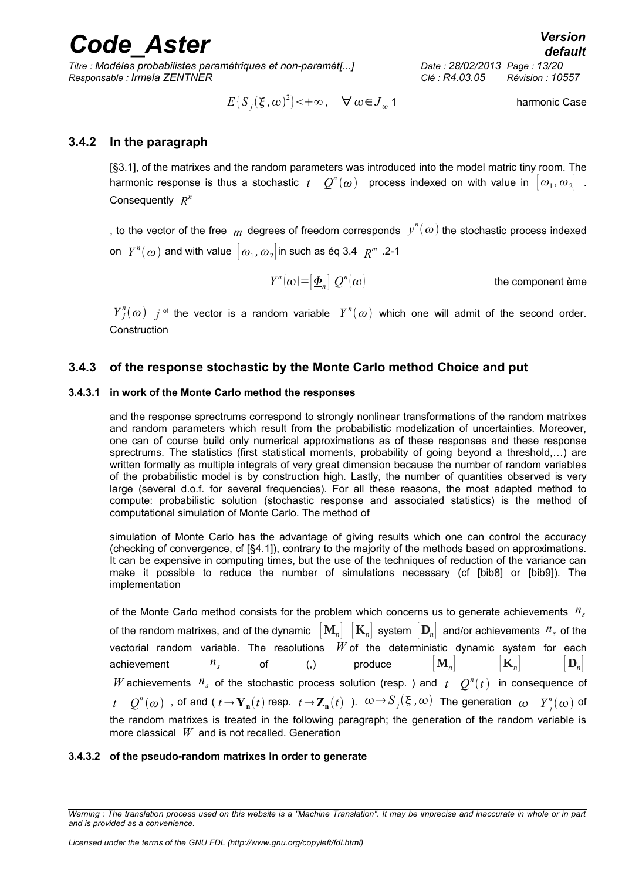*Titre : Modèles probabilistes paramétriques et non-paramét[...] Date : 28/02/2013 Page : 13/20 Responsable : Irmela ZENTNER Clé : R4.03.05 Révision : 10557*

 $E\{S_j(\xi,\omega)^2\}$  < +  $\infty$ ,  $\forall \omega \in J_\omega$ harmonic Case

### **3.4.2 In the paragraph**

<span id="page-12-3"></span>[§3.1], of the matrixes and the random parameters was introduced into the model matric tiny room. The harmonic response is thus a stochastic  $t$   $Q^n(\omega)$  process indexed on with value in  $\big[\omega_1,\omega_2\big]$  . Consequently *R n*

, to the vector of the free  $\,m\,$  degrees of freedom corresponds  $\,\varphi^{n}(\,\omega)$  the stochastic process indexed on  $\;Y^n(\omega)$  and with value  $\left[\,\omega_{_1},\omega_{_2}\right]$ in such as éq 3.4  $\;R^m$  .2-1

> $Y^n(\omega) = [\underline{\Phi}_n] Q^n$ the component ème

 $Y_j^n(\omega)$  *j*<sup>of</sup> the vector is a random variable  $Y^n(\omega)$  which one will admit of the second order. **Construction** 

### <span id="page-12-2"></span>**3.4.3 of the response stochastic by the Monte Carlo method Choice and put**

#### **3.4.3.1 in work of the Monte Carlo method the responses**

<span id="page-12-1"></span>and the response sprectrums correspond to strongly nonlinear transformations of the random matrixes and random parameters which result from the probabilistic modelization of uncertainties. Moreover, one can of course build only numerical approximations as of these responses and these response sprectrums. The statistics (first statistical moments, probability of going beyond a threshold,...) are written formally as multiple integrals of very great dimension because the number of random variables of the probabilistic model is by construction high. Lastly, the number of quantities observed is very large (several d.o.f. for several frequencies). For all these reasons, the most adapted method to compute: probabilistic solution (stochastic response and associated statistics) is the method of computational simulation of Monte Carlo. The method of

simulation of Monte Carlo has the advantage of giving results which one can control the accuracy (checking of convergence, cf [§4.1]), contrary to the majority of the methods based on approximations. It can be expensive in computing times, but the use of the techniques of reduction of the variance can make it possible to reduce the number of simulations necessary (cf [bib8] or [bib9]). The implementation

of the Monte Carlo method consists for the problem which concerns us to generate achievements *n<sup>s</sup>* of the random matrixes, and of the dynamic  $\|\mathbf{M}_n\| \|\mathbf{K}_n\|$  system  $\|\mathbf{D}_n\|$  and/or achievements  $n_s$  of the vectorial random variable. The resolutions *W* of the deterministic dynamic system for each achievement  $n_s$  of (,) produce  $\left[ \mathbf{M}_n \right]$   $\left[ \mathbf{K}_n \right]$   $\left[ \mathbf{D}_n \right]$ *W* achievements  $n_s$  of the stochastic process solution (resp. ) and  $t \in Q^n(t)$  in consequence of  $t$   $Q^n(\omega)$  , of and (  $t$   $\rightarrow$   $\mathbf{Y_n}(t)$  resp.  $t$   $\rightarrow$   $\mathbf{Z_n}(t)$  ).  $\omega$   $\rightarrow$   $S_j(\xi$  ,  $\omega)$  The generation  $\omega$   $Y_j^n(\omega)$  of the random matrixes is treated in the following paragraph; the generation of the random variable is more classical *W* and is not recalled. Generation

#### <span id="page-12-0"></span>**3.4.3.2 of the pseudo-random matrixes In order to generate**

*Warning : The translation process used on this website is a "Machine Translation". It may be imprecise and inaccurate in whole or in part and is provided as a convenience.*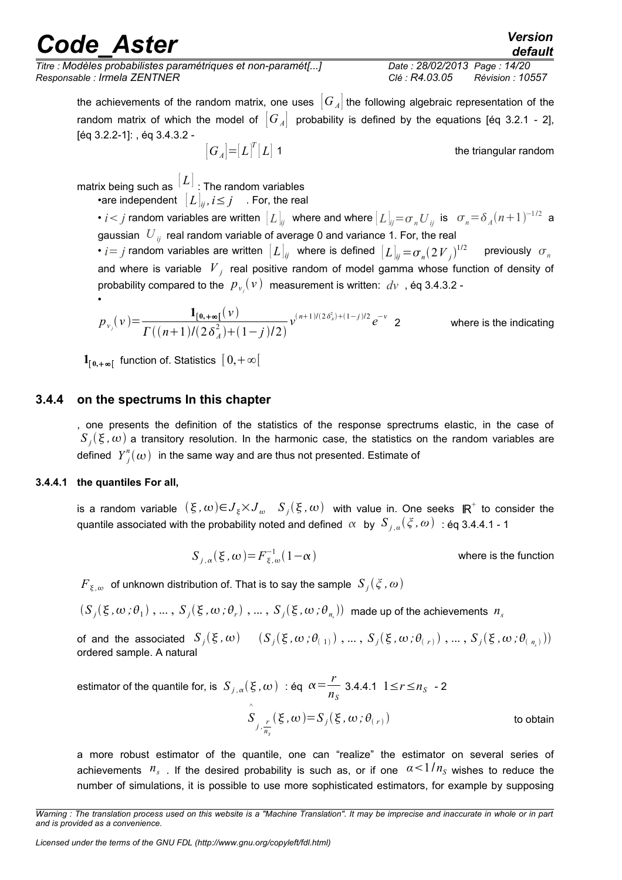*Titre : Modèles probabilistes paramétriques et non-paramét[...] Date : 28/02/2013 Page : 14/20 Responsable : Irmela ZENTNER Clé : R4.03.05 Révision : 10557*

the achievements of the random matrix, one uses  $[G_A]$  the following algebraic representation of the random matrix of which the model of  $[G_A]$  probability is defined by the equations [eq 3.2.1 - 2], [éq 3.2.2-1]: , éq 3.4.3.2 -

 $\left[G_{\scriptscriptstyle A} \right] = \left[L\right]^{\scriptscriptstyle T}$ 

the triangular random

matrix being such as  $\left\vert L\right\vert$  : The random variables •are independent  $[L]_{ii}, i \leq j$  . For, the real

•  $i$  <  $j$  random variables are written  $\left[ L \right]_{ij}$  where and where  $\left[ L \right]_{ij}$   $=$   $\sigma$   $_{n}$   $U$   $_{ij}$  is  $\sigma$   $_{n}$   $=$   $\delta$   $_{A}$   $(n+1)^{-1/2}$  a gaussian *U ij* real random variable of average 0 and variance 1. For, the real

•  $i$  *i*  $j$  random variables are written  $\left[ L \right]_{ij}$  where is defined  $\left[ L \right]_{ij}$   $=$   $\sigma_n (2\,V_{\,\,j}^{\,\,})^{1/2}$ previously  $\sigma_n$ and where is variable  $|V_{j}|$  real positive random of model gamma whose function of density of probability compared to the  $\,p_{\nu_j}^{}(\nu)\,$  measurement is written:  $\,d\nu\,$  , éq 3.4.3.2 -

$$
p_{v_j}(v) = \frac{\mathbf{1}_{[0,+\infty[}(v))}{\Gamma((n+1)/(2\delta_A^2)+(1-j)/2)} v^{(n+1)/(2\delta_A^2)+(1-j)/2} e^{-v} \quad \text{2}
$$
 where is the indicating

 $\mathbf{1}_{[\,0,+\infty[}$  function of. Statistics  $[\,0,+\infty[\,$ 

#### **3.4.4 on the spectrums In this chapter**

<span id="page-13-1"></span>, one presents the definition of the statistics of the response sprectrums elastic, in the case of  $S_j(\xi,\omega)$  a transitory resolution. In the harmonic case, the statistics on the random variables are defined  $\left\| Y_{j}^{n}(\omega)\right\|$  in the same way and are thus not presented. Estimate of

#### **3.4.4.1 the quantiles For all,**

•

<span id="page-13-0"></span>is a random variable  $(\xi, \omega){\in}J_\xi{\times}J_\omega$   $S_j(\xi, \omega)$  with value in. One seeks  $\mathbb{R}^+$  to consider the quantile associated with the probability noted and defined  $\alpha$  by  $S_{j,a}(\xi,\omega)$  : éq 3.4.4.1 - 1

$$
S_{j,\alpha}(\xi,\omega) = F_{\xi,\omega}^{-1}(1-\alpha)
$$
 where is the function

 $F_{\,\xi,\omega}$  of unknown distribution of. That is to say the sample  $\,S_{\,j}(\,\zeta$  ,  $\omega)$ 

 $(S_j(\xi,\omega\,;\theta_1)\,,\ldots,\,S_j(\xi,\omega\,;\theta_r)\,,\ldots,\,S_j(\xi,\omega\,;\theta_{n_i}))\,$  made up of the achievements  $\,n_s\,$ 

of and the associated  $S_j(\xi, \omega) = (S_j(\xi, \omega\, ; \theta_{(+)})$  , ... ,  $S_j(\xi, \omega\, ; \theta_{(+)})$  , ... ,  $S_j(\xi, \omega\, ; \theta_{(+)}))$ ordered sample. A natural

estimator of the quantile for, is  $S_{j,\alpha}(\xi,\omega)$  : éq  $\alpha = \frac{r}{n}$  $\frac{n}{n_S}$  3.4.4.1 1≤*r* ≤*n<sub>S</sub>* - 2 *S* ^  $j, \frac{r}{\cdot}$  $n<sub>S</sub>$  $(\xi, \omega) = S_j(\xi, \omega; \theta_{(r)})$ to obtain

a more robust estimator of the quantile, one can "realize" the estimator on several series of achievements  $n_s$ . If the desired probability is such as, or if one  $\alpha < 1/n_s$  wishes to reduce the number of simulations, it is possible to use more sophisticated estimators, for example by supposing

*Warning : The translation process used on this website is a "Machine Translation". It may be imprecise and inaccurate in whole or in part and is provided as a convenience.*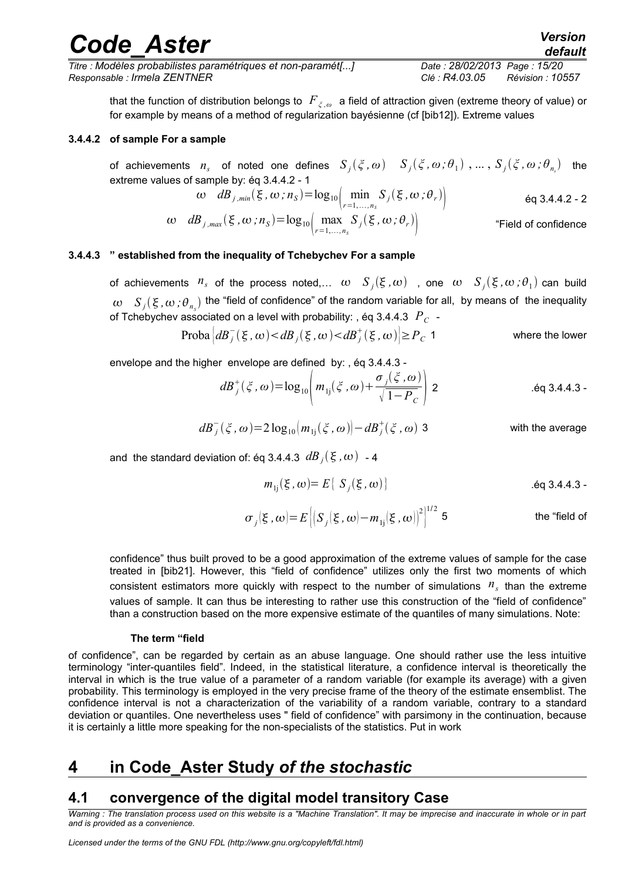*Titre : Modèles probabilistes paramétriques et non-paramét[...] Date : 28/02/2013 Page : 15/20 Responsable : Irmela ZENTNER Clé : R4.03.05 Révision : 10557*

that the function of distribution belongs to *F<sup>ξ</sup> ,ω* a field of attraction given (extreme theory of value) or for example by means of a method of regularization bayésienne (cf [bib12]). Extreme values

#### **3.4.4.2 of sample For a sample**

<span id="page-14-3"></span>of achievements  $n_s$  of noted one defines  $S_j(\xi,\omega)-S_j(\xi,\omega;\theta_1)$  , ... ,  $S_j(\xi,\omega;\theta_{n_s})$  the extreme values of sample by: éq 3.4.4.2 - 1

$$
\omega \quad dB_{j,min}(\xi,\omega;n_{s}) = \log_{10}\left(\min_{r=1,\dots,n_{s}} S_{j}(\xi,\omega;\theta_{r})\right) \tag{6q 3.4.4.2 - 2}
$$

$$
\omega \quad dB_{j,\text{max}}(\xi,\omega,n_{\text{s}}) = \log_{10}\Big(\max_{r=1,\dots,n_{\text{s}}} S_j(\xi,\omega;\theta_r)\Big) \qquad \text{``Field of confidence}
$$

#### **3.4.4.3 " established from the inequality of Tchebychev For a sample**

<span id="page-14-2"></span>of achievements  $n_s$  of the process noted,...  $\omega$   $S_j(\xi,\omega)$  , one  $\omega$   $S_j(\xi,\omega;\theta_1)$  can build  $\omega$  *S<sub>j</sub>*( $\xi$ , $\omega$ ; $\theta_{n_s}$ ) the "field of confidence" of the random variable for all, by means of the inequality of Tchebychev associated on a level with probability: , éq 3.4.4.3 *P<sup>C</sup>* -

$$
\text{Proba}\left|dB_j^-(\xi,\omega) < dB_j(\xi,\omega) < dB_j^+(\xi,\omega)\right| \ge P_C 1 \qquad \text{where the lower}
$$

envelope and the higher envelope are defined by: , éq 3.4.4.3 -

$$
dB_j^+(\xi,\omega) = \log_{10}\left(m_{1j}(\xi,\omega) + \frac{\sigma_j(\xi,\omega)}{\sqrt{1-P_c}}\right) \quad 2 \qquad \text{Eq 3.4.4.3}
$$

$$
dB_j^-(\xi,\omega) = 2\log_{10}\left(m_{1j}(\xi,\omega)\right) - dB_j^+(\xi,\omega)
$$
3 with the average

and the standard deviation of: éq 3.4.4.3  $\overline{dB}_j(\xi,\omega)$  - 4

$$
m_{1j}(\xi,\omega) = E\{S_j(\xi,\omega)\}\
$$

$$
\sigma_j(\xi,\omega) = E\left[\left(S_j(\xi,\omega) - m_{1j}(\xi,\omega)\right)^2\right]^{1/2} 5
$$
 the "field of

confidence" thus built proved to be a good approximation of the extreme values of sample for the case treated in [bib21]. However, this "field of confidence" utilizes only the first two moments of which consistent estimators more quickly with respect to the number of simulations  $n<sub>s</sub>$  than the extreme values of sample. It can thus be interesting to rather use this construction of the "field of confidence" than a construction based on the more expensive estimate of the quantiles of many simulations. Note:

#### **The term "field**

of confidence", can be regarded by certain as an abuse language. One should rather use the less intuitive terminology "inter-quantiles field". Indeed, in the statistical literature, a confidence interval is theoretically the interval in which is the true value of a parameter of a random variable (for example its average) with a given probability. This terminology is employed in the very precise frame of the theory of the estimate ensemblist. The confidence interval is not a characterization of the variability of a random variable, contrary to a standard deviation or quantiles. One nevertheless uses " field of confidence" with parsimony in the continuation, because it is certainly a little more speaking for the non-specialists of the statistics. Put in work

### <span id="page-14-1"></span>**4 in Code\_Aster Study** *of the stochastic*

### <span id="page-14-0"></span>**4.1 convergence of the digital model transitory Case**

*Warning : The translation process used on this website is a "Machine Translation". It may be imprecise and inaccurate in whole or in part and is provided as a convenience.*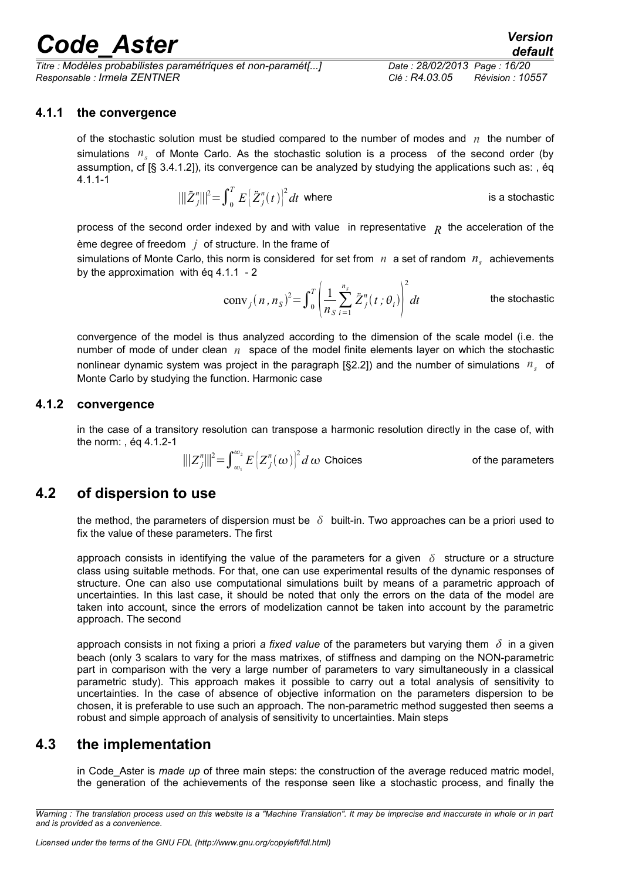*Titre : Modèles probabilistes paramétriques et non-paramét[...] Date : 28/02/2013 Page : 16/20 Responsable : Irmela ZENTNER Clé : R4.03.05 Révision : 10557*

#### **4.1.1 the convergence**

<span id="page-15-3"></span>of the stochastic solution must be studied compared to the number of modes and *n* the number of simulations *n<sup>s</sup>* of Monte Carlo. As the stochastic solution is a process of the second order (by assumption, cf [§ 3.4.1.2]), its convergence can be analyzed by studying the applications such as: , éq 4.1.1-1

$$
\|\|\ddot{Z}_{j}^{n}\|\|^{2} = \int_{0}^{T} E\left[\ddot{Z}_{j}^{n}(t)\right]^{2} dt \text{ where}
$$
 is a stochastic

process of the second order indexed by and with value in representative *R* the acceleration of the ème degree of freedom *j* of structure. In the frame of

simulations of Monte Carlo, this norm is considered for set from *n* a set of random *n<sup>s</sup>* achievements by the approximation with éq 4.1.1 - 2

> conv<sub>*j*</sub> $(n, n_s)^2 = \int_0^T$  $\overline{n}$ 1  $\frac{1}{n_s} \sum_{i=1}$ *nS*  $\ddot{Z}^n_j$  $\left[\int_{i}^{n}(t;\theta_{i})\right]$  d 2 the stochastic

convergence of the model is thus analyzed according to the dimension of the scale model (i.e. the number of mode of under clean *n* space of the model finite elements layer on which the stochastic nonlinear dynamic system was project in the paragraph [§2.2]) and the number of simulations *n<sup>s</sup>* of Monte Carlo by studying the function. Harmonic case

#### **4.1.2 convergence**

<span id="page-15-2"></span>in the case of a transitory resolution can transpose a harmonic resolution directly in the case of, with the norm: , éq 4.1.2-1

$$
\|Z_{j}^{n}\|^{2} = \int_{\omega_{1}}^{\omega_{2}} E\left[Z_{j}^{n}(\omega)\right]^{2} d\omega \text{ Choices}
$$
 of the parameters

### **4.2 of dispersion to use**

<span id="page-15-1"></span>the method, the parameters of dispersion must be  $\delta$  built-in. Two approaches can be a priori used to fix the value of these parameters. The first

approach consists in identifying the value of the parameters for a given  $\delta$  structure or a structure class using suitable methods. For that, one can use experimental results of the dynamic responses of structure. One can also use computational simulations built by means of a parametric approach of uncertainties. In this last case, it should be noted that only the errors on the data of the model are taken into account, since the errors of modelization cannot be taken into account by the parametric approach. The second

approach consists in not fixing a priori *a fixed value* of the parameters but varying them *δ* in a given beach (only 3 scalars to vary for the mass matrixes, of stiffness and damping on the NON-parametric part in comparison with the very a large number of parameters to vary simultaneously in a classical parametric study). This approach makes it possible to carry out a total analysis of sensitivity to uncertainties. In the case of absence of objective information on the parameters dispersion to be chosen, it is preferable to use such an approach. The non-parametric method suggested then seems a robust and simple approach of analysis of sensitivity to uncertainties. Main steps

### **4.3 the implementation**

<span id="page-15-0"></span>in Code\_Aster is *made up* of three main steps: the construction of the average reduced matric model, the generation of the achievements of the response seen like a stochastic process, and finally the

*Warning : The translation process used on this website is a "Machine Translation". It may be imprecise and inaccurate in whole or in part and is provided as a convenience.*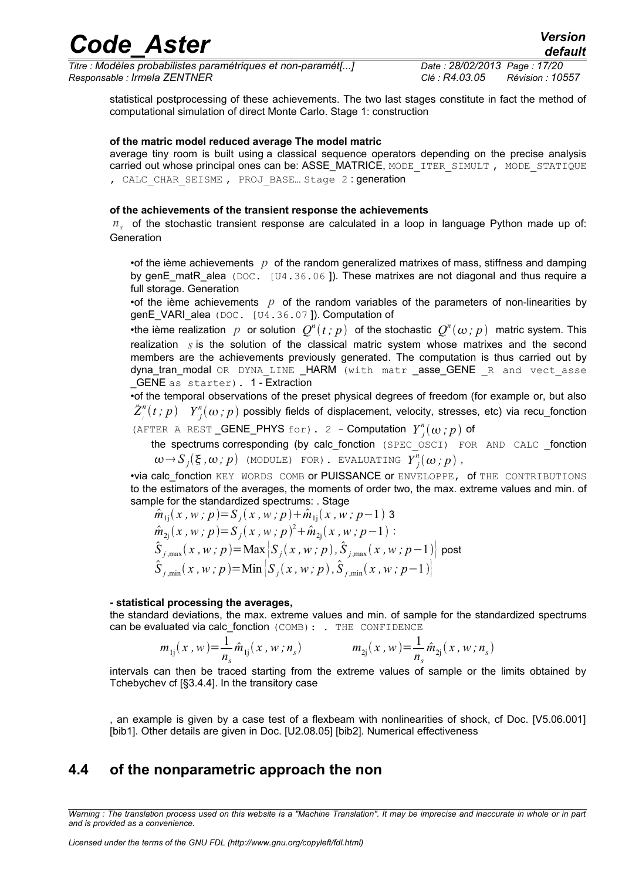*Titre : Modèles probabilistes paramétriques et non-paramét[...] Date : 28/02/2013 Page : 17/20 Responsable : Irmela ZENTNER Clé : R4.03.05 Révision : 10557*

statistical postprocessing of these achievements. The two last stages constitute in fact the method of computational simulation of direct Monte Carlo. Stage 1: construction

#### **of the matric model reduced average The model matric**

average tiny room is built using a classical sequence operators depending on the precise analysis carried out whose principal ones can be: ASSE\_MATRICE, MODE\_ITER\_SIMULT, MODE\_STATIQUE , CALC CHAR SEISME, PROJ BASE... Stage 2 : generation

#### **of the achievements of the transient response the achievements**

*ns* of the stochastic transient response are calculated in a loop in language Python made up of: Generation

•of the ième achievements *p* of the random generalized matrixes of mass, stiffness and damping by genE\_matR\_alea (DOC. [U4.36.06]). These matrixes are not diagonal and thus require a full storage. Generation

•of the ième achievements *p* of the random variables of the parameters of non-linearities by genE\_VARI\_alea (DOC. [U4.36.07]). Computation of

•the ième realization  $p$  or solution  $Q^n(t;p)$  of the stochastic  $Q^n(\omega;p)$  matric system. This realization *s* is the solution of the classical matric system whose matrixes and the second members are the achievements previously generated. The computation is thus carried out by dyna\_tran\_modal OR DYNA LINE \_HARM (with matr \_asse\_GENE R and vect asse GENE as starter). 1 - Extraction

•of the temporal observations of the preset physical degrees of freedom (for example or, but also *Z*¨ *i*  $\int_a^n(t:p)$   $Y_j^n(\omega\,;p)$  possibly fields of displacement, velocity, stresses, etc) via recu\_fonction

(AFTER A REST **\_GENE** PHYS for). 2 - Computation  $Y_j^n(\omega; p)$  of

the spectrums corresponding (by calc\_fonction (SPEC\_OSCI) FOR AND CALC \_fonction  $\omega \rightarrow S_j(\xi, \omega; p)$  (module) for). Evaluating  $Y_j^n(\omega; p)$ ,

•via calc fonction KEY WORDS COMB or PUISSANCE or ENVELOPPE, of THE CONTRIBUTIONS to the estimators of the averages, the moments of order two, the max. extreme values and min. of sample for the standardized spectrums: . Stage

$$
\hat{m}_{1j}(x, w; p) = S_j(x, w; p) + \hat{m}_{1j}(x, w; p-1) 3
$$
\n
$$
\hat{m}_{2j}(x, w; p) = S_j(x, w; p)^2 + \hat{m}_{2j}(x, w; p-1):
$$
\n
$$
\hat{S}_{j, max}(x, w; p) = \text{Max}\left[S_j(x, w; p), \hat{S}_{j, max}(x, w; p-1)\right] \text{post}
$$
\n
$$
\hat{S}_{j, min}(x, w; p) = \text{Min}\left[S_j(x, w; p), \hat{S}_{j, min}(x, w; p-1)\right]
$$

#### **- statistical processing the averages,**

the standard deviations, the max. extreme values and min. of sample for the standardized spectrums can be evaluated via calc fonction (COMB): . THE CONFIDENCE

$$
m_{1j}(x, w) = \frac{1}{n_s} \hat{m}_{1j}(x, w; n_s) \qquad m_{2j}(x, w) = \frac{1}{n_s} \hat{m}_{2j}(x, w; n_s)
$$

intervals can then be traced starting from the extreme values of sample or the limits obtained by Tchebychev cf [§3.4.4]. In the transitory case

an example is given by a case test of a flexbeam with nonlinearities of shock, cf Doc. [V5.06.001] [bib1]. Other details are given in Doc. [U2.08.05] [bib2]. Numerical effectiveness

### <span id="page-16-0"></span>**4.4 of the nonparametric approach the non**

*Warning : The translation process used on this website is a "Machine Translation". It may be imprecise and inaccurate in whole or in part and is provided as a convenience.*

## *Code\_Aster Version*

1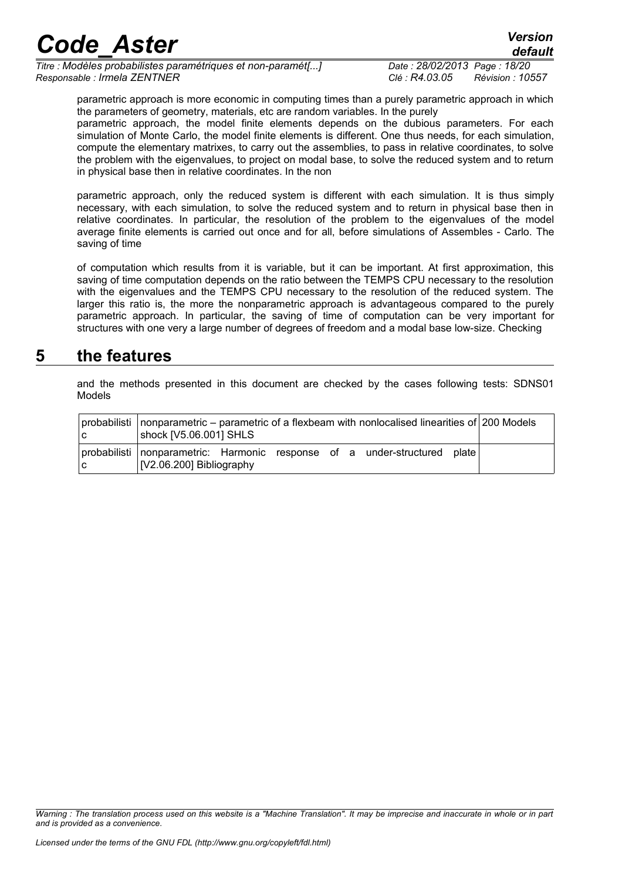*Titre : Modèles probabilistes paramétriques et non-paramét[...] Date : 28/02/2013 Page : 18/20 Responsable : Irmela ZENTNER Clé : R4.03.05 Révision : 10557*

parametric approach is more economic in computing times than a purely parametric approach in which the parameters of geometry, materials, etc are random variables. In the purely

parametric approach, the model finite elements depends on the dubious parameters. For each simulation of Monte Carlo, the model finite elements is different. One thus needs, for each simulation, compute the elementary matrixes, to carry out the assemblies, to pass in relative coordinates, to solve the problem with the eigenvalues, to project on modal base, to solve the reduced system and to return in physical base then in relative coordinates. In the non

parametric approach, only the reduced system is different with each simulation. It is thus simply necessary, with each simulation, to solve the reduced system and to return in physical base then in relative coordinates. In particular, the resolution of the problem to the eigenvalues of the model average finite elements is carried out once and for all, before simulations of Assembles - Carlo. The saving of time

of computation which results from it is variable, but it can be important. At first approximation, this saving of time computation depends on the ratio between the TEMPS CPU necessary to the resolution with the eigenvalues and the TEMPS CPU necessary to the resolution of the reduced system. The larger this ratio is, the more the nonparametric approach is advantageous compared to the purely parametric approach. In particular, the saving of time of computation can be very important for structures with one very a large number of degrees of freedom and a modal base low-size. Checking

### **5 the features**

<span id="page-17-0"></span>and the methods presented in this document are checked by the cases following tests: SDNS01 Models

|     | probabilisti   nonparametric – parametric of a flexbeam with nonlocalised linearities of 200 Models<br>shock [V5.06.001] SHLS |  |
|-----|-------------------------------------------------------------------------------------------------------------------------------|--|
| l C | probabilisti nonparametric: Harmonic response of a under-structured plate<br>[V2.06.200] Bibliography                         |  |

*Warning : The translation process used on this website is a "Machine Translation". It may be imprecise and inaccurate in whole or in part and is provided as a convenience.*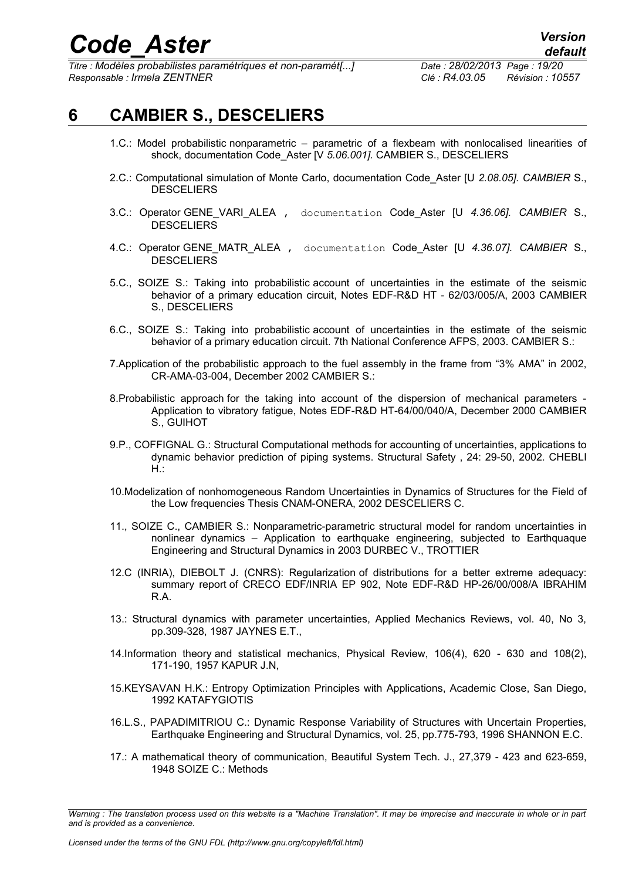*Titre : Modèles probabilistes paramétriques et non-paramét[...] Date : 28/02/2013 Page : 19/20 Responsable : Irmela ZENTNER Clé : R4.03.05 Révision : 10557*

## **6 CAMBIER S., DESCELIERS**

- <span id="page-18-0"></span>1.C.: Model probabilistic nonparametric – parametric of a flexbeam with nonlocalised linearities of shock, documentation Code\_Aster [V *5.06.001].* CAMBIER S., DESCELIERS
- 2.C.: Computational simulation of Monte Carlo, documentation Code\_Aster [U *2.08.05]. CAMBIER* S., **DESCELIERS**
- 3.C.: Operator GENE\_VARI\_ALEA , documentation Code\_Aster [U *4.36.06]. CAMBIER* S., **DESCELIERS**
- 4.C.: Operator GENE\_MATR\_ALEA , documentation Code\_Aster [U *4.36.07]. CAMBIER* S., **DESCELIERS**
- 5.C., SOIZE S.: Taking into probabilistic account of uncertainties in the estimate of the seismic behavior of a primary education circuit, Notes EDF-R&D HT - 62/03/005/A, 2003 CAMBIER S., DESCELIERS
- 6.C., SOIZE S.: Taking into probabilistic account of uncertainties in the estimate of the seismic behavior of a primary education circuit. 7th National Conference AFPS, 2003. CAMBIER S.:
- 7.Application of the probabilistic approach to the fuel assembly in the frame from "3% AMA" in 2002, CR-AMA-03-004, December 2002 CAMBIER S.:
- 8.Probabilistic approach for the taking into account of the dispersion of mechanical parameters Application to vibratory fatigue, Notes EDF-R&D HT-64/00/040/A, December 2000 CAMBIER S., GUIHOT
- 9.P., COFFIGNAL G.: Structural Computational methods for accounting of uncertainties, applications to dynamic behavior prediction of piping systems. Structural Safety , 24: 29-50, 2002. CHEBLI H.:
- 10.Modelization of nonhomogeneous Random Uncertainties in Dynamics of Structures for the Field of the Low frequencies Thesis CNAM-ONERA, 2002 DESCELIERS C.
- 11., SOIZE C., CAMBIER S.: Nonparametric-parametric structural model for random uncertainties in nonlinear dynamics – Application to earthquake engineering, subjected to Earthquaque Engineering and Structural Dynamics in 2003 DURBEC V., TROTTIER
- 12.C (INRIA), DIEBOLT J. (CNRS): Regularization of distributions for a better extreme adequacy: summary report of CRECO EDF/INRIA EP 902, Note EDF-R&D HP-26/00/008/A IBRAHIM R.A.
- 13.: Structural dynamics with parameter uncertainties, Applied Mechanics Reviews, vol. 40, No 3, pp.309-328, 1987 JAYNES E.T.,
- 14.Information theory and statistical mechanics, Physical Review, 106(4), 620 630 and 108(2), 171-190, 1957 KAPUR J.N,
- 15.KEYSAVAN H.K.: Entropy Optimization Principles with Applications, Academic Close, San Diego, 1992 KATAFYGIOTIS
- 16.L.S., PAPADIMITRIOU C.: Dynamic Response Variability of Structures with Uncertain Properties, Earthquake Engineering and Structural Dynamics, vol. 25, pp.775-793, 1996 SHANNON E.C.
- 17.: A mathematical theory of communication, Beautiful System Tech. J., 27,379 423 and 623-659, 1948 SOIZE C.: Methods

*Warning : The translation process used on this website is a "Machine Translation". It may be imprecise and inaccurate in whole or in part and is provided as a convenience.*